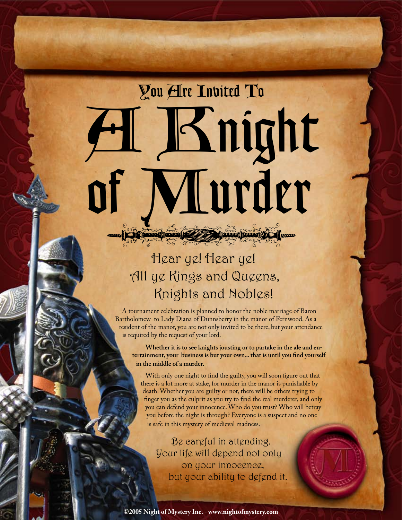You Are Invited To A Knight of Murder

Have paid to the control of the second states of the sum

## Hear ye! Hear ye! All ye Kings and Queens, Knights and Nobles!

A tournament celebration is planned to honor the noble marriage of Baron Bartholomew to Lady Diana of Dunnsberry in the manor of Fernwood. As a resident of the manor, you are not only invited to be there, but your attendance is required by the request of your lord.

**Whether it is to see knights jousting or to partake in the ale and entertainment, your business is but your own... that is until you find yourself in the middle of a murder.** 

With only one night to find the guilty, you will soon figure out that there is a lot more at stake, for murder in the manor is punishable by death. Whether you are guilty or not, there will be others trying to finger you as the culprit as you try to find the real murderer, and only you can defend your innocence. Who do you trust? Who will betray you before the night is through? Everyone is a suspect and no one is safe in this mystery of medieval madness.

Be careful in attending. Your life will depend not only on your innocence, but your ability to defend it.